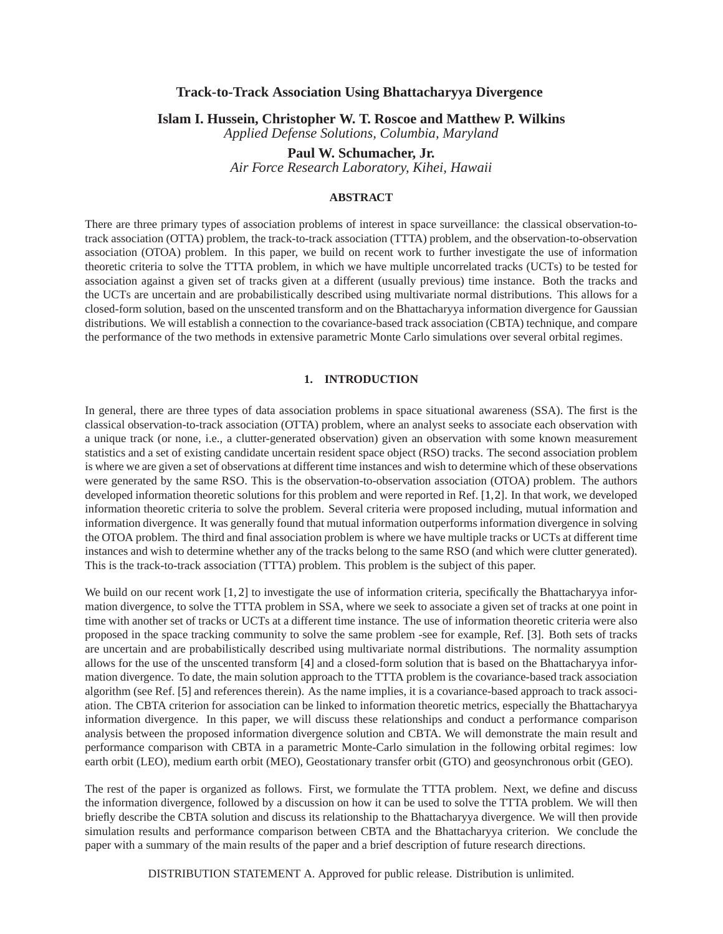# **Track-to-Track Association Using Bhattacharyya Divergence**

**Islam I. Hussein, Christopher W. T. Roscoe and Matthew P. Wilkins**

*Applied Defense Solutions, Columbia, Maryland*

**Paul W. Schumacher, Jr.** *Air Force Research Laboratory, Kihei, Hawaii*

#### **ABSTRACT**

There are three primary types of association problems of interest in space surveillance: the classical observation-totrack association (OTTA) problem, the track-to-track association (TTTA) problem, and the observation-to-observation association (OTOA) problem. In this paper, we build on recent work to further investigate the use of information theoretic criteria to solve the TTTA problem, in which we have multiple uncorrelated tracks (UCTs) to be tested for association against a given set of tracks given at a different (usually previous) time instance. Both the tracks and the UCTs are uncertain and are probabilistically described using multivariate normal distributions. This allows for a closed-form solution, based on the unscented transform and on the Bhattacharyya information divergence for Gaussian distributions. We will establish a connection to the covariance-based track association (CBTA) technique, and compare the performance of the two methods in extensive parametric Monte Carlo simulations over several orbital regimes.

### **1. INTRODUCTION**

In general, there are three types of data association problems in space situational awareness (SSA). The first is the classical observation-to-track association (OTTA) problem, where an analyst seeks to associate each observation with a unique track (or none, i.e., a clutter-generated observation) given an observation with some known measurement statistics and a set of existing candidate uncertain resident space object (RSO) tracks. The second association problem is where we are given a set of observations at different time instances and wish to determine which of these observations were generated by the same RSO. This is the observation-to-observation association (OTOA) problem. The authors developed information theoretic solutions for this problem and were reported in Ref. [\[1,](#page-4-0)[2\]](#page-4-1). In that work, we developed information theoretic criteria to solve the problem. Several criteria were proposed including, mutual information and information divergence. It was generally found that mutual information outperforms information divergence in solving the OTOA problem. The third and final association problem is where we have multiple tracks or UCTs at different time instances and wish to determine whether any of the tracks belong to the same RSO (and which were clutter generated). This is the track-to-track association (TTTA) problem. This problem is the subject of this paper.

We build on our recent work  $[1, 2]$  $[1, 2]$  to investigate the use of information criteria, specifically the Bhattacharyya information divergence, to solve the TTTA problem in SSA, where we seek to associate a given set of tracks at one point in time with another set of tracks or UCTs at a different time instance. The use of information theoretic criteria were also proposed in the space tracking community to solve the same problem -see for example, Ref. [\[3\]](#page-4-2). Both sets of tracks are uncertain and are probabilistically described using multivariate normal distributions. The normality assumption allows for the use of the unscented transform [\[4\]](#page-9-0) and a closed-form solution that is based on the Bhattacharyya information divergence. To date, the main solution approach to the TTTA problem is the covariance-based track association algorithm (see Ref. [\[5\]](#page-9-1) and references therein). As the name implies, it is a covariance-based approach to track association. The CBTA criterion for association can be linked to information theoretic metrics, especially the Bhattacharyya information divergence. In this paper, we will discuss these relationships and conduct a performance comparison analysis between the proposed information divergence solution and CBTA. We will demonstrate the main result and performance comparison with CBTA in a parametric Monte-Carlo simulation in the following orbital regimes: low earth orbit (LEO), medium earth orbit (MEO), Geostationary transfer orbit (GTO) and geosynchronous orbit (GEO).

The rest of the paper is organized as follows. First, we formulate the TTTA problem. Next, we define and discuss the information divergence, followed by a discussion on how it can be used to solve the TTTA problem. We will then briefly describe the CBTA solution and discuss its relationship to the Bhattacharyya divergence. We will then provide simulation results and performance comparison between CBTA and the Bhattacharyya criterion. We conclude the paper with a summary of the main results of the paper and a brief description of future research directions.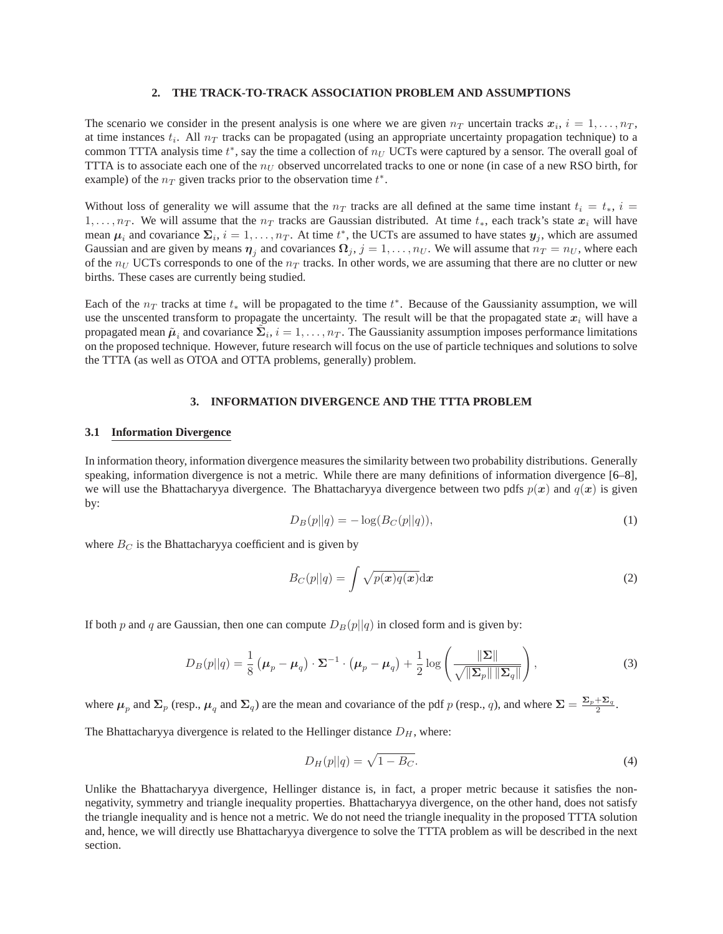#### **2. THE TRACK-TO-TRACK ASSOCIATION PROBLEM AND ASSUMPTIONS**

The scenario we consider in the present analysis is one where we are given  $n_T$  uncertain tracks  $x_i$ ,  $i = 1, \ldots, n_T$ , at time instances  $t_i$ . All  $n_T$  tracks can be propagated (using an appropriate uncertainty propagation technique) to a common TTTA analysis time  $t^*$ , say the time a collection of  $n_U$  UCTs were captured by a sensor. The overall goal of TTTA is to associate each one of the  $n_U$  observed uncorrelated tracks to one or none (in case of a new RSO birth, for example) of the  $n_T$  given tracks prior to the observation time  $t^*$ .

Without loss of generality we will assume that the  $n_T$  tracks are all defined at the same time instant  $t_i = t_*, i =$ 1, ...,  $n_T$ . We will assume that the  $n_T$  tracks are Gaussian distributed. At time  $t_*$ , each track's state  $x_i$  will have mean  $\mu_i$  and covariance  $\Sigma_i$ ,  $i = 1, \ldots, n_T$ . At time  $t^*$ , the UCTs are assumed to have states  $y_j$ , which are assumed Gaussian and are given by means  $\eta_j$  and covariances  $\Omega_j$ ,  $j=1,\ldots,n_U$ . We will assume that  $n_T=n_U$ , where each of the  $n_U$  UCTs corresponds to one of the  $n_T$  tracks. In other words, we are assuming that there are no clutter or new births. These cases are currently being studied.

Each of the  $n_T$  tracks at time  $t_*$  will be propagated to the time  $t^*$ . Because of the Gaussianity assumption, we will use the unscented transform to propagate the uncertainty. The result will be that the propagated state  $x_i$  will have a propagated mean  $\tilde{\mu}_i$  and covariance  $\tilde{\Sigma}_i$ ,  $i=1,\ldots,n_T$ . The Gaussianity assumption imposes performance limitations on the proposed technique. However, future research will focus on the use of particle techniques and solutions to solve the TTTA (as well as OTOA and OTTA problems, generally) problem.

## **3. INFORMATION DIVERGENCE AND THE TTTA PROBLEM**

#### **3.1 Information Divergence**

In information theory, information divergence measures the similarity between two probability distributions. Generally speaking, information divergence is not a metric. While there are many definitions of information divergence [\[6](#page-9-2)[–8\]](#page-9-3), we will use the Bhattacharyya divergence. The Bhattacharyya divergence between two pdfs  $p(x)$  and  $q(x)$  is given by:

$$
D_B(p||q) = -\log(B_C(p||q)),
$$
\n(1)

where  $B_C$  is the Bhattacharyya coefficient and is given by

$$
B_C(p||q) = \int \sqrt{p(x)q(x)} dx
$$
 (2)

If both p and q are Gaussian, then one can compute  $D_B(p||q)$  in closed form and is given by:

<span id="page-1-0"></span>
$$
D_B(p||q) = \frac{1}{8} \left(\boldsymbol{\mu}_p - \boldsymbol{\mu}_q\right) \cdot \boldsymbol{\Sigma}^{-1} \cdot \left(\boldsymbol{\mu}_p - \boldsymbol{\mu}_q\right) + \frac{1}{2} \log \left(\frac{\|\boldsymbol{\Sigma}\|}{\sqrt{\|\boldsymbol{\Sigma}_p\| \|\boldsymbol{\Sigma}_q\|}}\right),\tag{3}
$$

where  $\mu_p$  and  $\Sigma_p$  (resp.,  $\mu_q$  and  $\Sigma_q$ ) are the mean and covariance of the pdf p (resp., q), and where  $\Sigma = \frac{\Sigma_p + \Sigma_q}{2}$ .

The Bhattacharyya divergence is related to the Hellinger distance  $D_H$ , where:

$$
D_H(p||q) = \sqrt{1 - B_C}.\tag{4}
$$

Unlike the Bhattacharyya divergence, Hellinger distance is, in fact, a proper metric because it satisfies the nonnegativity, symmetry and triangle inequality properties. Bhattacharyya divergence, on the other hand, does not satisfy the triangle inequality and is hence not a metric. We do not need the triangle inequality in the proposed TTTA solution and, hence, we will directly use Bhattacharyya divergence to solve the TTTA problem as will be described in the next section.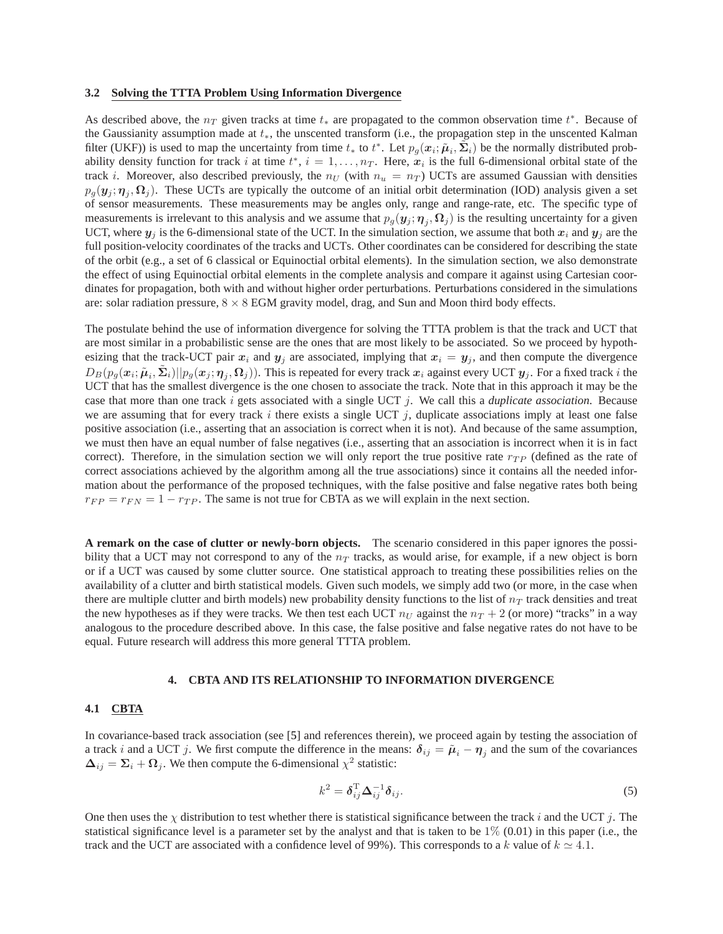#### **3.2 Solving the TTTA Problem Using Information Divergence**

As described above, the  $n_T$  given tracks at time  $t_*$  are propagated to the common observation time  $t^*$ . Because of the Gaussianity assumption made at  $t_*,$  the unscented transform (i.e., the propagation step in the unscented Kalman filter (UKF)) is used to map the uncertainty from time  $t_*$  to  $t^*$ . Let  $p_g(x_i; \tilde{\mu}_i, \tilde{\Sigma}_i)$  be the normally distributed probability density function for track i at time  $t^*$ ,  $i = 1, \ldots, n_T$ . Here,  $x_i$  is the full 6-dimensional orbital state of the track i. Moreover, also described previously, the  $n_U$  (with  $n_u = n_T$ ) UCTs are assumed Gaussian with densities  $p_g(y_j; \eta_j, \Omega_j)$ . These UCTs are typically the outcome of an initial orbit determination (IOD) analysis given a set of sensor measurements. These measurements may be angles only, range and range-rate, etc. The specific type of measurements is irrelevant to this analysis and we assume that  $p_g(y_j; \eta_j, \Omega_j)$  is the resulting uncertainty for a given UCT, where  $y_i$  is the 6-dimensional state of the UCT. In the simulation section, we assume that both  $x_i$  and  $y_j$  are the full position-velocity coordinates of the tracks and UCTs. Other coordinates can be considered for describing the state of the orbit (e.g., a set of 6 classical or Equinoctial orbital elements). In the simulation section, we also demonstrate the effect of using Equinoctial orbital elements in the complete analysis and compare it against using Cartesian coordinates for propagation, both with and without higher order perturbations. Perturbations considered in the simulations are: solar radiation pressure,  $8 \times 8$  EGM gravity model, drag, and Sun and Moon third body effects.

The postulate behind the use of information divergence for solving the TTTA problem is that the track and UCT that are most similar in a probabilistic sense are the ones that are most likely to be associated. So we proceed by hypothesizing that the track-UCT pair  $x_i$  and  $y_j$  are associated, implying that  $x_i = y_j$ , and then compute the divergence  $D_B(p_g(\bm{x}_i;\tilde{\bm{\mu}}_i,\tilde{\bm{\Sigma}}_i)||p_g(\bm{x}_j;\bm{\eta}_j,\bm{\Omega}_j)).$  This is repeated for every track  $\bm{x}_i$  against every UCT  $\bm{y}_j$ . For a fixed track i the UCT that has the smallest divergence is the one chosen to associate the track. Note that in this approach it may be the case that more than one track i gets associated with a single UCT j. We call this a *duplicate association*. Because we are assuming that for every track i there exists a single UCT j, duplicate associations imply at least one false positive association (i.e., asserting that an association is correct when it is not). And because of the same assumption, we must then have an equal number of false negatives (i.e., asserting that an association is incorrect when it is in fact correct). Therefore, in the simulation section we will only report the true positive rate  $r_{TP}$  (defined as the rate of correct associations achieved by the algorithm among all the true associations) since it contains all the needed information about the performance of the proposed techniques, with the false positive and false negative rates both being  $r_{FP} = r_{FN} = 1 - r_{TP}$ . The same is not true for CBTA as we will explain in the next section.

**A remark on the case of clutter or newly-born objects.** The scenario considered in this paper ignores the possibility that a UCT may not correspond to any of the  $n<sub>T</sub>$  tracks, as would arise, for example, if a new object is born or if a UCT was caused by some clutter source. One statistical approach to treating these possibilities relies on the availability of a clutter and birth statistical models. Given such models, we simply add two (or more, in the case when there are multiple clutter and birth models) new probability density functions to the list of  $n<sub>T</sub>$  track densities and treat the new hypotheses as if they were tracks. We then test each UCT  $n_U$  against the  $n_T + 2$  (or more) "tracks" in a way analogous to the procedure described above. In this case, the false positive and false negative rates do not have to be equal. Future research will address this more general TTTA problem.

#### **4. CBTA AND ITS RELATIONSHIP TO INFORMATION DIVERGENCE**

### **4.1 CBTA**

In covariance-based track association (see [\[5\]](#page-9-1) and references therein), we proceed again by testing the association of a track i and a UCT j. We first compute the difference in the means:  $\delta_{ij} = \tilde{\mu}_i - \eta_j$  and the sum of the covariances  $\Delta_{ij} = \Sigma_i + \Omega_j$ . We then compute the 6-dimensional  $\chi^2$  statistic:

<span id="page-2-0"></span>
$$
k^2 = \boldsymbol{\delta}_{ij}^{\mathrm{T}} \boldsymbol{\Delta}_{ij}^{-1} \boldsymbol{\delta}_{ij}.
$$

One then uses the  $\chi$  distribution to test whether there is statistical significance between the track i and the UCT j. The statistical significance level is a parameter set by the analyst and that is taken to be  $1\%$  (0.01) in this paper (i.e., the track and the UCT are associated with a confidence level of 99%). This corresponds to a k value of  $k \approx 4.1$ .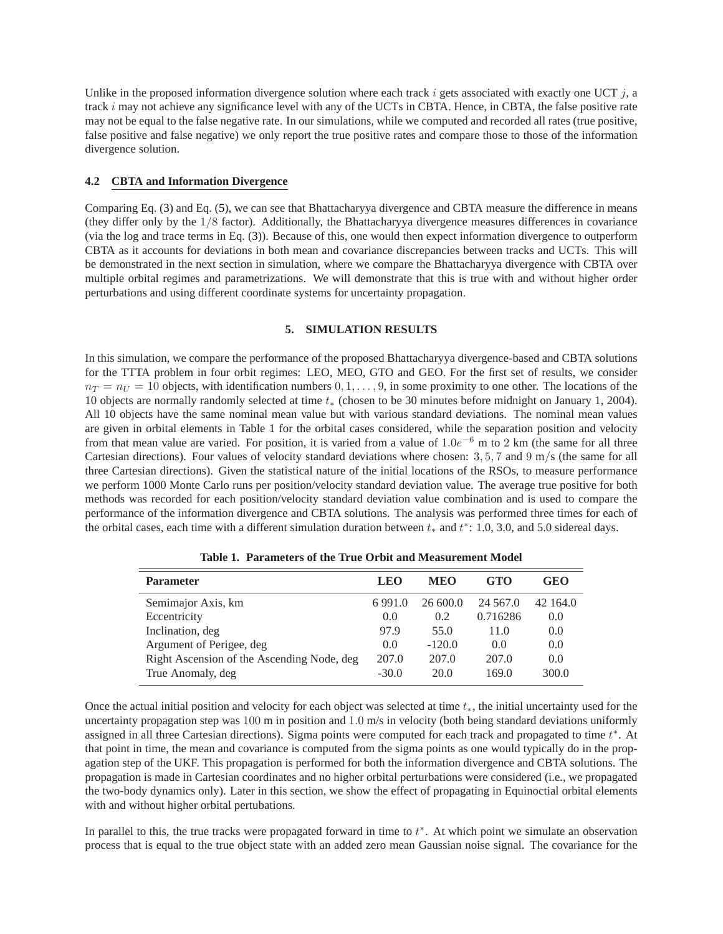Unlike in the proposed information divergence solution where each track i gets associated with exactly one UCT  $i$ , a track i may not achieve any significance level with any of the UCTs in CBTA. Hence, in CBTA, the false positive rate may not be equal to the false negative rate. In our simulations, while we computed and recorded all rates (true positive, false positive and false negative) we only report the true positive rates and compare those to those of the information divergence solution.

## **4.2 CBTA and Information Divergence**

Comparing Eq. [\(3\)](#page-1-0) and Eq. [\(5\)](#page-2-0), we can see that Bhattacharyya divergence and CBTA measure the difference in means (they differ only by the 1/8 factor). Additionally, the Bhattacharyya divergence measures differences in covariance (via the log and trace terms in Eq. [\(3\)](#page-1-0)). Because of this, one would then expect information divergence to outperform CBTA as it accounts for deviations in both mean and covariance discrepancies between tracks and UCTs. This will be demonstrated in the next section in simulation, where we compare the Bhattacharyya divergence with CBTA over multiple orbital regimes and parametrizations. We will demonstrate that this is true with and without higher order perturbations and using different coordinate systems for uncertainty propagation.

## **5. SIMULATION RESULTS**

In this simulation, we compare the performance of the proposed Bhattacharyya divergence-based and CBTA solutions for the TTTA problem in four orbit regimes: LEO, MEO, GTO and GEO. For the first set of results, we consider  $n_T = n_U = 10$  objects, with identification numbers  $0, 1, \ldots, 9$ , in some proximity to one other. The locations of the 10 objects are normally randomly selected at time t<sup>∗</sup> (chosen to be 30 minutes before midnight on January 1, 2004). All 10 objects have the same nominal mean value but with various standard deviations. The nominal mean values are given in orbital elements in Table [1](#page-3-0) for the orbital cases considered, while the separation position and velocity from that mean value are varied. For position, it is varied from a value of  $1.0e^{-6}$  m to 2 km (the same for all three Cartesian directions). Four values of velocity standard deviations where chosen:  $3, 5, 7$  and  $9 \text{ m/s}$  (the same for all three Cartesian directions). Given the statistical nature of the initial locations of the RSOs, to measure performance we perform 1000 Monte Carlo runs per position/velocity standard deviation value. The average true positive for both methods was recorded for each position/velocity standard deviation value combination and is used to compare the performance of the information divergence and CBTA solutions. The analysis was performed three times for each of the orbital cases, each time with a different simulation duration between  $t_*$  and  $t^*$ : 1.0, 3.0, and 5.0 sidereal days.

| <b>Parameter</b>                           | <b>LEO</b> | <b>MEO</b> | GTO         | GEO      |
|--------------------------------------------|------------|------------|-------------|----------|
| Semimajor Axis, km                         | 6991.0     | 26600.0    | 24 5 6 7 .0 | 42 164.0 |
| Eccentricity                               | 0.0        | 0.2        | 0.716286    | 0.0      |
| Inclination, deg                           | 97.9       | 55.0       | 11.0        | 0.0      |
| Argument of Perigee, deg                   | 0.0        | $-120.0$   | 0.0         | 0.0      |
| Right Ascension of the Ascending Node, deg | 207.0      | 207.0      | 207.0       | 0.0      |
| True Anomaly, deg                          | $-30.0$    | 20.0       | 169.0       | 300.0    |
|                                            |            |            |             |          |

<span id="page-3-0"></span>**Table 1. Parameters of the True Orbit and Measurement Model**

Once the actual initial position and velocity for each object was selected at time  $t<sub>*</sub>$ , the initial uncertainty used for the uncertainty propagation step was 100 m in position and 1.0 m/s in velocity (both being standard deviations uniformly assigned in all three Cartesian directions). Sigma points were computed for each track and propagated to time  $t^*$ . At that point in time, the mean and covariance is computed from the sigma points as one would typically do in the propagation step of the UKF. This propagation is performed for both the information divergence and CBTA solutions. The propagation is made in Cartesian coordinates and no higher orbital perturbations were considered (i.e., we propagated the two-body dynamics only). Later in this section, we show the effect of propagating in Equinoctial orbital elements with and without higher orbital pertubations.

In parallel to this, the true tracks were propagated forward in time to  $t^*$ . At which point we simulate an observation process that is equal to the true object state with an added zero mean Gaussian noise signal. The covariance for the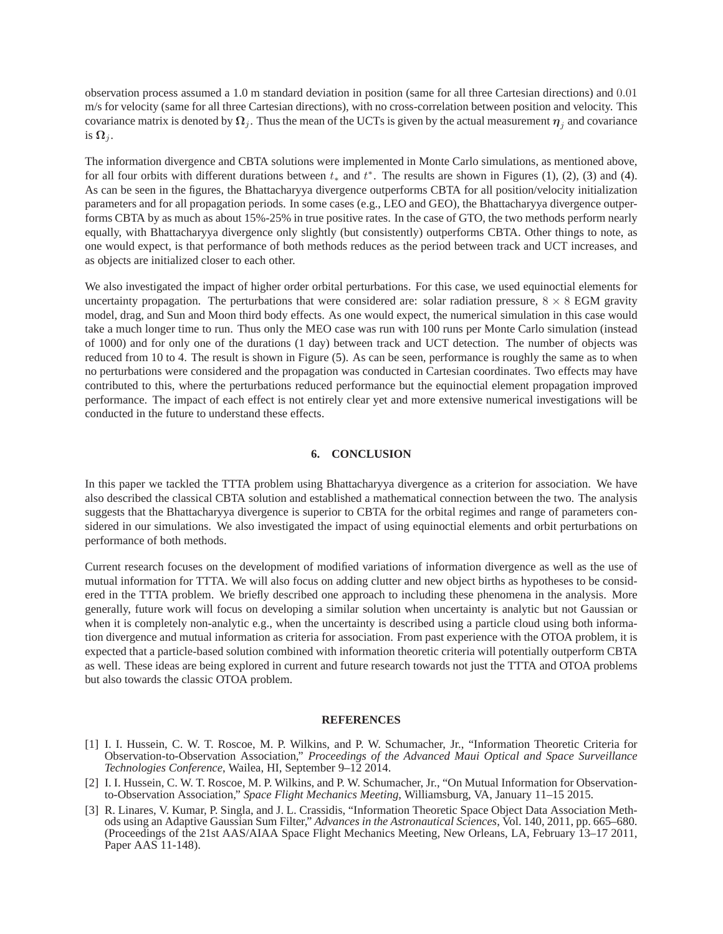observation process assumed a 1.0 m standard deviation in position (same for all three Cartesian directions) and 0.01 m/s for velocity (same for all three Cartesian directions), with no cross-correlation between position and velocity. This covariance matrix is denoted by  $\Omega_j$ . Thus the mean of the UCTs is given by the actual measurement  $\eta_j$  and covariance is  $\Omega_i$ .

The information divergence and CBTA solutions were implemented in Monte Carlo simulations, as mentioned above, for all four orbits with different durations between  $t_*$  and  $t^*$ . The results are shown in Figures [\(1\)](#page-5-0), [\(2\)](#page-6-0), [\(3\)](#page-7-0) and [\(4\)](#page-8-0). As can be seen in the figures, the Bhattacharyya divergence outperforms CBTA for all position/velocity initialization parameters and for all propagation periods. In some cases (e.g., LEO and GEO), the Bhattacharyya divergence outperforms CBTA by as much as about 15%-25% in true positive rates. In the case of GTO, the two methods perform nearly equally, with Bhattacharyya divergence only slightly (but consistently) outperforms CBTA. Other things to note, as one would expect, is that performance of both methods reduces as the period between track and UCT increases, and as objects are initialized closer to each other.

We also investigated the impact of higher order orbital perturbations. For this case, we used equinoctial elements for uncertainty propagation. The perturbations that were considered are: solar radiation pressure,  $8 \times 8$  EGM gravity model, drag, and Sun and Moon third body effects. As one would expect, the numerical simulation in this case would take a much longer time to run. Thus only the MEO case was run with 100 runs per Monte Carlo simulation (instead of 1000) and for only one of the durations (1 day) between track and UCT detection. The number of objects was reduced from 10 to 4. The result is shown in Figure [\(5\)](#page-9-4). As can be seen, performance is roughly the same as to when no perturbations were considered and the propagation was conducted in Cartesian coordinates. Two effects may have contributed to this, where the perturbations reduced performance but the equinoctial element propagation improved performance. The impact of each effect is not entirely clear yet and more extensive numerical investigations will be conducted in the future to understand these effects.

# **6. CONCLUSION**

In this paper we tackled the TTTA problem using Bhattacharyya divergence as a criterion for association. We have also described the classical CBTA solution and established a mathematical connection between the two. The analysis suggests that the Bhattacharyya divergence is superior to CBTA for the orbital regimes and range of parameters considered in our simulations. We also investigated the impact of using equinoctial elements and orbit perturbations on performance of both methods.

Current research focuses on the development of modified variations of information divergence as well as the use of mutual information for TTTA. We will also focus on adding clutter and new object births as hypotheses to be considered in the TTTA problem. We briefly described one approach to including these phenomena in the analysis. More generally, future work will focus on developing a similar solution when uncertainty is analytic but not Gaussian or when it is completely non-analytic e.g., when the uncertainty is described using a particle cloud using both information divergence and mutual information as criteria for association. From past experience with the OTOA problem, it is expected that a particle-based solution combined with information theoretic criteria will potentially outperform CBTA as well. These ideas are being explored in current and future research towards not just the TTTA and OTOA problems but also towards the classic OTOA problem.

### **REFERENCES**

- <span id="page-4-0"></span>[1] I. I. Hussein, C. W. T. Roscoe, M. P. Wilkins, and P. W. Schumacher, Jr., "Information Theoretic Criteria for Observation-to-Observation Association," *Proceedings of the Advanced Maui Optical and Space Surveillance Technologies Conference*, Wailea, HI, September 9–12 2014.
- <span id="page-4-1"></span>[2] I. I. Hussein, C. W. T. Roscoe, M. P. Wilkins, and P. W. Schumacher, Jr., "On Mutual Information for Observationto-Observation Association," *Space Flight Mechanics Meeting*, Williamsburg, VA, January 11–15 2015.
- <span id="page-4-2"></span>[3] R. Linares, V. Kumar, P. Singla, and J. L. Crassidis, "Information Theoretic Space Object Data Association Methods using an Adaptive Gaussian Sum Filter," *Advances in the Astronautical Sciences*, Vol. 140, 2011, pp. 665–680. (Proceedings of the 21st AAS/AIAA Space Flight Mechanics Meeting, New Orleans, LA, February 13–17 2011, Paper AAS 11-148).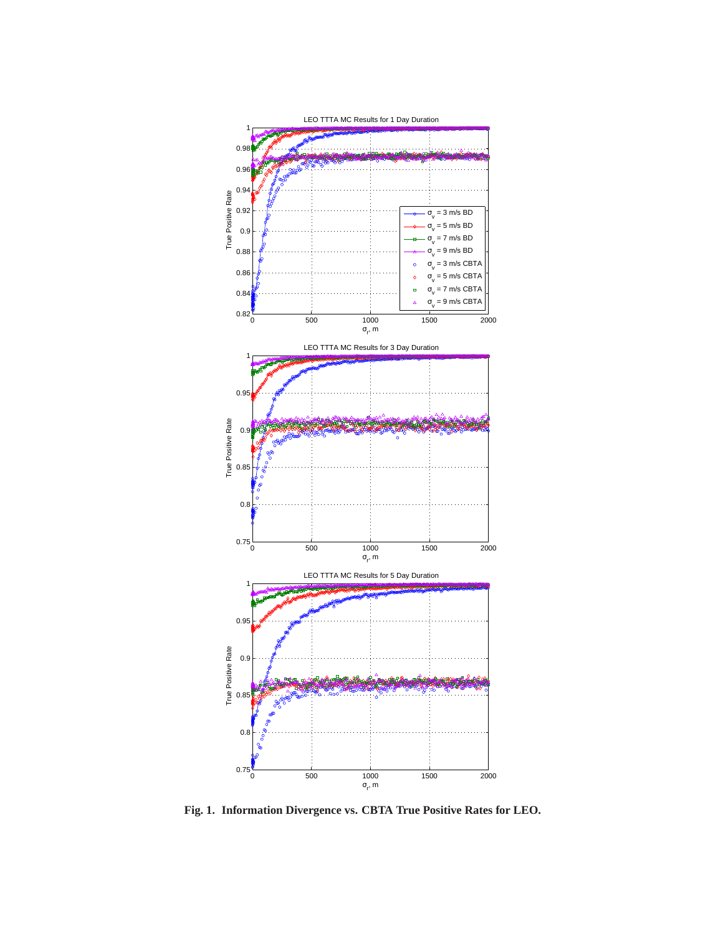

<span id="page-5-0"></span>**Fig. 1. Information Divergence vs. CBTA True Positive Rates for LEO.**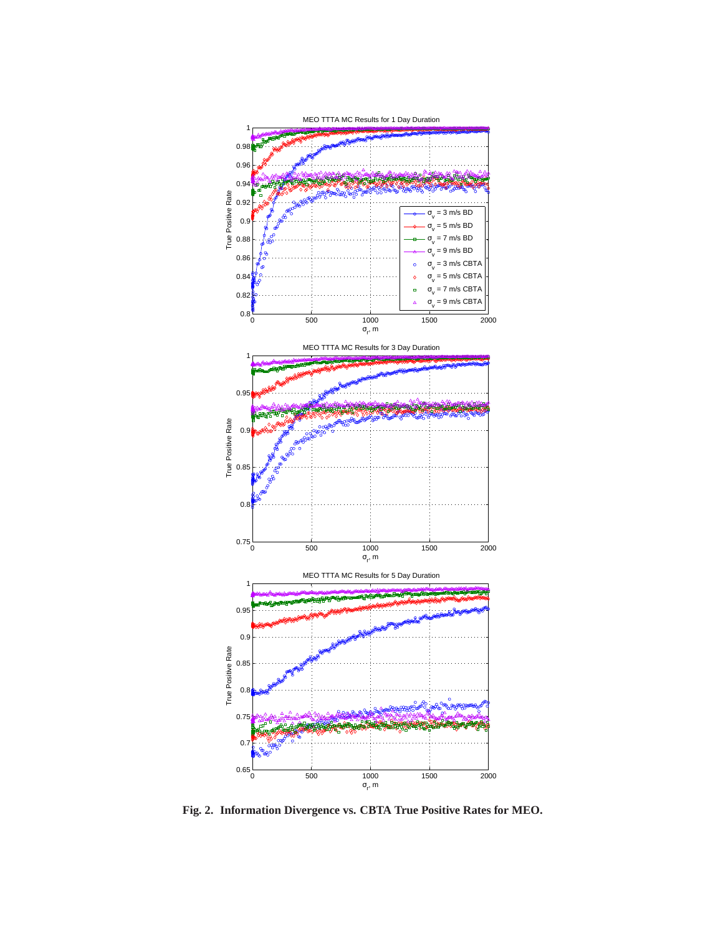

<span id="page-6-0"></span>**Fig. 2. Information Divergence vs. CBTA True Positive Rates for MEO.**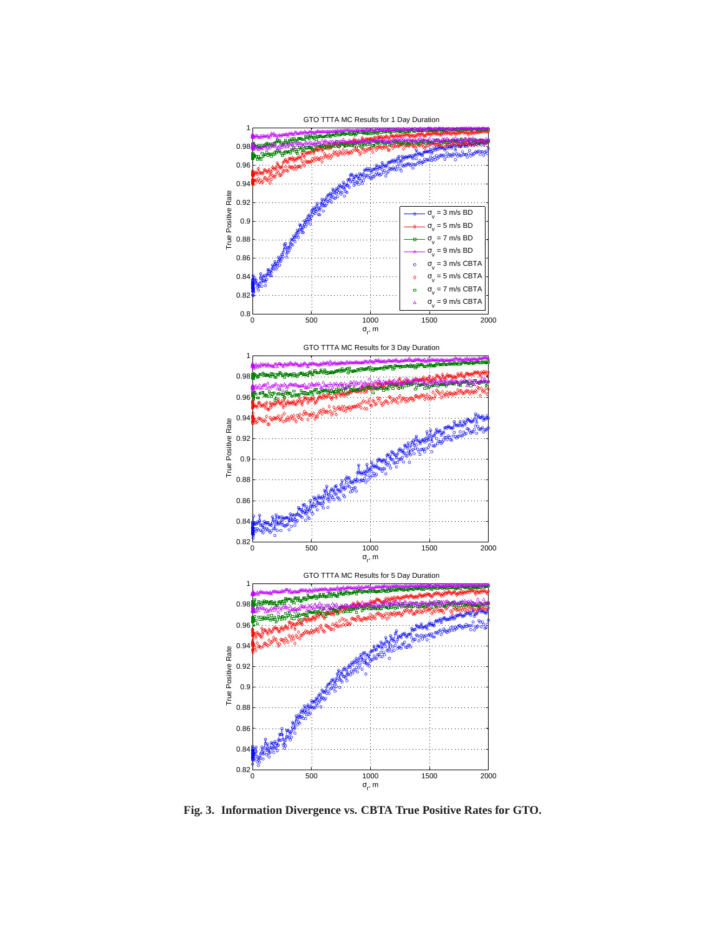

<span id="page-7-0"></span>**Fig. 3. Information Divergence vs. CBTA True Positive Rates for GTO.**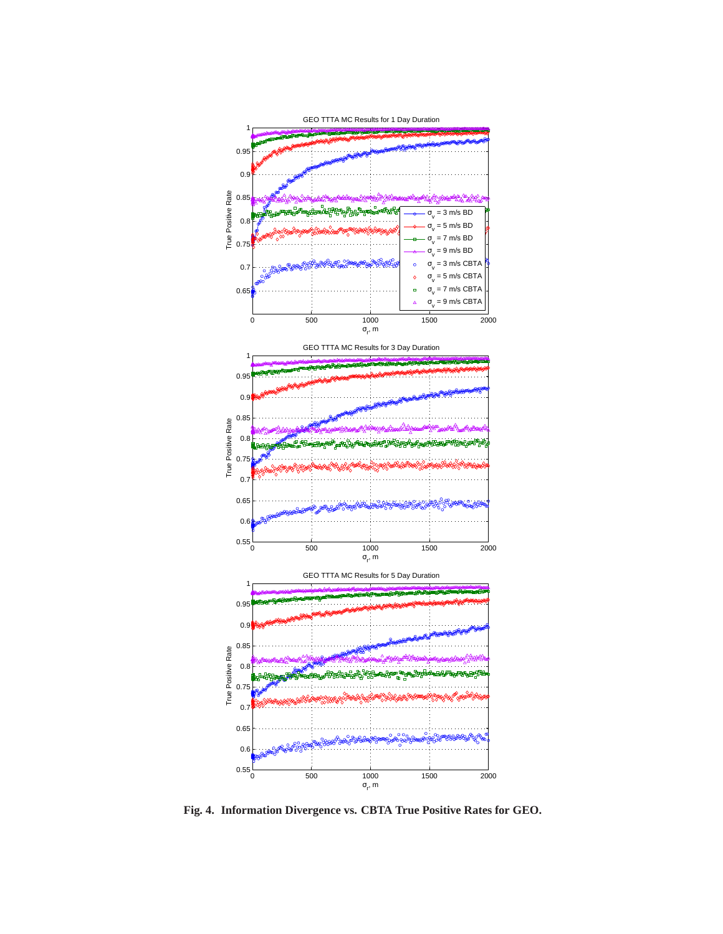

<span id="page-8-0"></span>**Fig. 4. Information Divergence vs. CBTA True Positive Rates for GEO.**